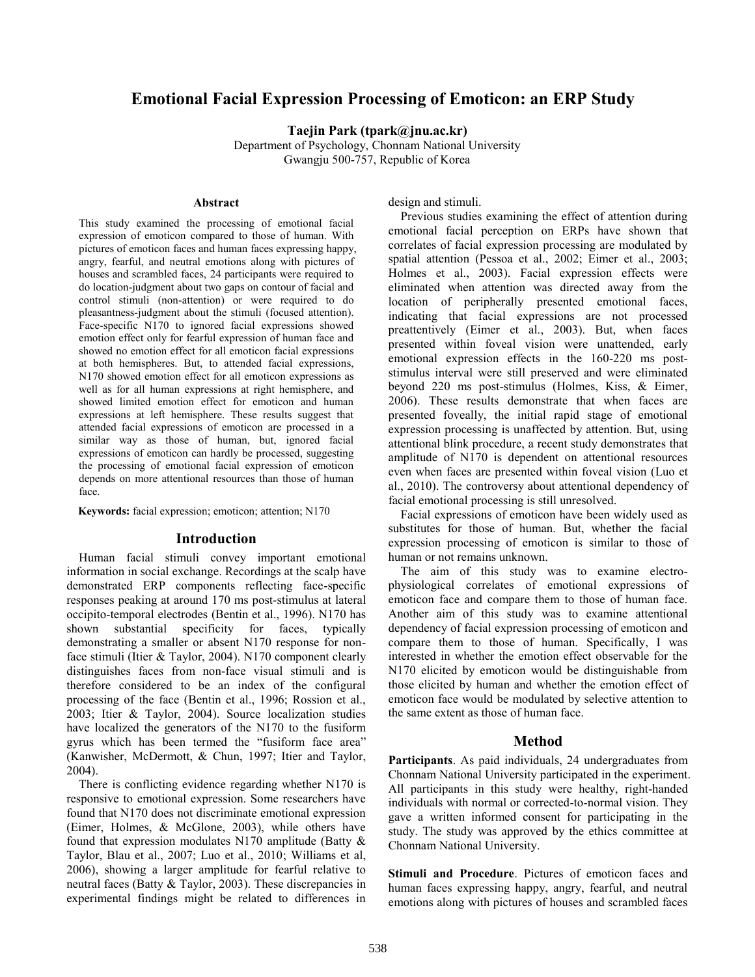# **Emotional Facial Expression Processing of Emoticon: an ERP Study**

**Taejin Park (tpark@jnu.ac.kr)** Department of Psychology, Chonnam National University Gwangju 500-757, Republic of Korea

#### **Abstract**

This study examined the processing of emotional facial expression of emoticon compared to those of human. With pictures of emoticon faces and human faces expressing happy, angry, fearful, and neutral emotions along with pictures of houses and scrambled faces, 24 participants were required to do location-judgment about two gaps on contour of facial and control stimuli (non-attention) or were required to do pleasantness-judgment about the stimuli (focused attention). Face-specific N170 to ignored facial expressions showed emotion effect only for fearful expression of human face and showed no emotion effect for all emoticon facial expressions at both hemispheres. But, to attended facial expressions, N170 showed emotion effect for all emoticon expressions as well as for all human expressions at right hemisphere, and showed limited emotion effect for emoticon and human expressions at left hemisphere. These results suggest that attended facial expressions of emoticon are processed in a similar way as those of human, but, ignored facial expressions of emoticon can hardly be processed, suggesting the processing of emotional facial expression of emoticon depends on more attentional resources than those of human face.

**Keywords:** facial expression; emoticon; attention; N170

# **Introduction**

Human facial stimuli convey important emotional information in social exchange. Recordings at the scalp have demonstrated ERP components reflecting face-specific responses peaking at around 170 ms post-stimulus at lateral occipito-temporal electrodes (Bentin et al., 1996). N170 has shown substantial specificity for faces, typically demonstrating a smaller or absent N170 response for nonface stimuli (Itier & Taylor, 2004). N170 component clearly distinguishes faces from non-face visual stimuli and is therefore considered to be an index of the configural processing of the face (Bentin et al., 1996; Rossion et al., 2003; Itier & Taylor, 2004). Source localization studies have localized the generators of the N170 to the fusiform gyrus which has been termed the "fusiform face area" (Kanwisher, McDermott, & Chun, 1997; Itier and Taylor, 2004).

There is conflicting evidence regarding whether N170 is responsive to emotional expression. Some researchers have found that N170 does not discriminate emotional expression (Eimer, Holmes, & McGlone, 2003), while others have found that expression modulates N170 amplitude (Batty & Taylor, Blau et al., 2007; Luo et al., 2010; Williams et al, 2006), showing a larger amplitude for fearful relative to neutral faces (Batty & Taylor, 2003). These discrepancies in experimental findings might be related to differences in

design and stimuli.

Previous studies examining the effect of attention during emotional facial perception on ERPs have shown that correlates of facial expression processing are modulated by spatial attention (Pessoa et al., 2002; Eimer et al., 2003; Holmes et al., 2003). Facial expression effects were eliminated when attention was directed away from the location of peripherally presented emotional faces, indicating that facial expressions are not processed preattentively (Eimer et al., 2003). But, when faces presented within foveal vision were unattended, early emotional expression effects in the 160-220 ms poststimulus interval were still preserved and were eliminated beyond 220 ms post-stimulus (Holmes, Kiss, & Eimer, 2006). These results demonstrate that when faces are presented foveally, the initial rapid stage of emotional expression processing is unaffected by attention. But, using attentional blink procedure, a recent study demonstrates that amplitude of N170 is dependent on attentional resources even when faces are presented within foveal vision (Luo et al., 2010). The controversy about attentional dependency of facial emotional processing is still unresolved.

Facial expressions of emoticon have been widely used as substitutes for those of human. But, whether the facial expression processing of emoticon is similar to those of human or not remains unknown.

The aim of this study was to examine electrophysiological correlates of emotional expressions of emoticon face and compare them to those of human face. Another aim of this study was to examine attentional dependency of facial expression processing of emoticon and compare them to those of human. Specifically, I was interested in whether the emotion effect observable for the N170 elicited by emoticon would be distinguishable from those elicited by human and whether the emotion effect of emoticon face would be modulated by selective attention to the same extent as those of human face.

### **Method**

**Participants**. As paid individuals, 24 undergraduates from Chonnam National University participated in the experiment. All participants in this study were healthy, right-handed individuals with normal or corrected-to-normal vision. They gave a written informed consent for participating in the study. The study was approved by the ethics committee at Chonnam National University.

**Stimuli and Procedure**. Pictures of emoticon faces and human faces expressing happy, angry, fearful, and neutral emotions along with pictures of houses and scrambled faces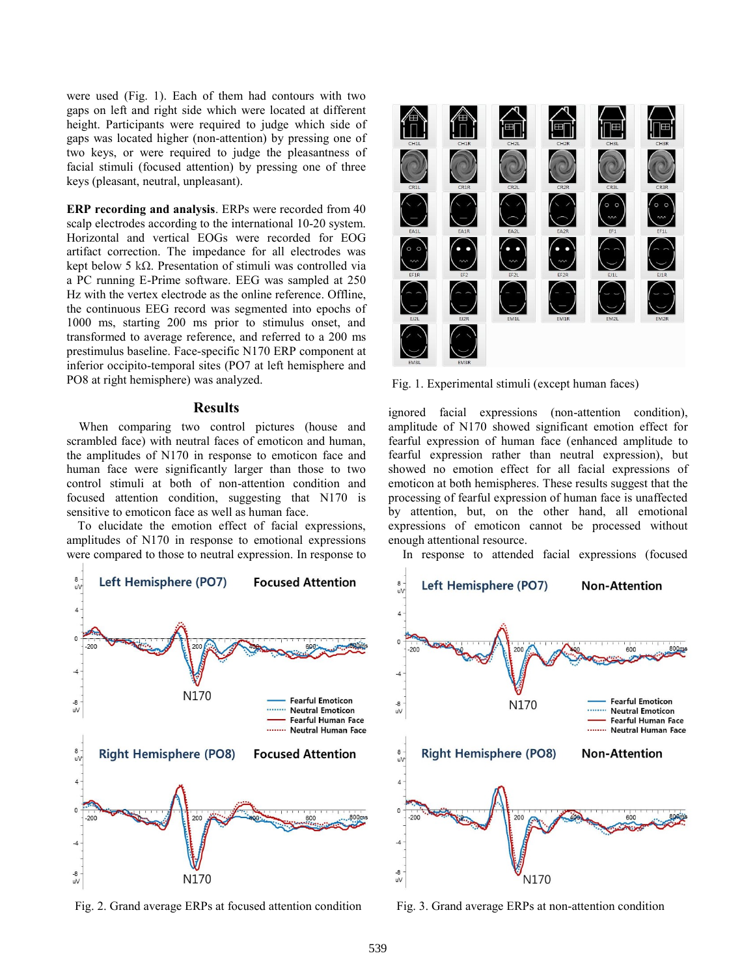were used (Fig. 1). Each of them had contours with two gaps on left and right side which were located at different height. Participants were required to judge which side of gaps was located higher (non-attention) by pressing one of two keys, or were required to judge the pleasantness of facial stimuli (focused attention) by pressing one of three keys (pleasant, neutral, unpleasant).

**ERP recording and analysis**. ERPs were recorded from 40 scalp electrodes according to the international 10-20 system. Horizontal and vertical EOGs were recorded for EOG artifact correction. The impedance for all electrodes was kept below 5 kΩ. Presentation of stimuli was controlled via a PC running E-Prime software. EEG was sampled at 250 Hz with the vertex electrode as the online reference. Offline, the continuous EEG record was segmented into epochs of 1000 ms, starting 200 ms prior to stimulus onset, and transformed to average reference, and referred to a 200 ms prestimulus baseline. Face-specific N170 ERP component at inferior occipito-temporal sites (PO7 at left hemisphere and PO8 at right hemisphere) was analyzed.

### **Results**

When comparing two control pictures (house and scrambled face) with neutral faces of emoticon and human, the amplitudes of N170 in response to emoticon face and human face were significantly larger than those to two control stimuli at both of non-attention condition and focused attention condition, suggesting that N170 is sensitive to emoticon face as well as human face.

To elucidate the emotion effect of facial expressions, amplitudes of N170 in response to emotional expressions were compared to those to neutral expression. In response to



Fig. 2. Grand average ERPs at focused attention condition Fig. 3. Grand average ERPs at non-attention condition



Fig. 1. Experimental stimuli (except human faces)

ignored facial expressions (non-attention condition), amplitude of N170 showed significant emotion effect for fearful expression of human face (enhanced amplitude to fearful expression rather than neutral expression), but showed no emotion effect for all facial expressions of emoticon at both hemispheres. These results suggest that the processing of fearful expression of human face is unaffected by attention, but, on the other hand, all emotional expressions of emoticon cannot be processed without enough attentional resource.

In response to attended facial expressions (focused

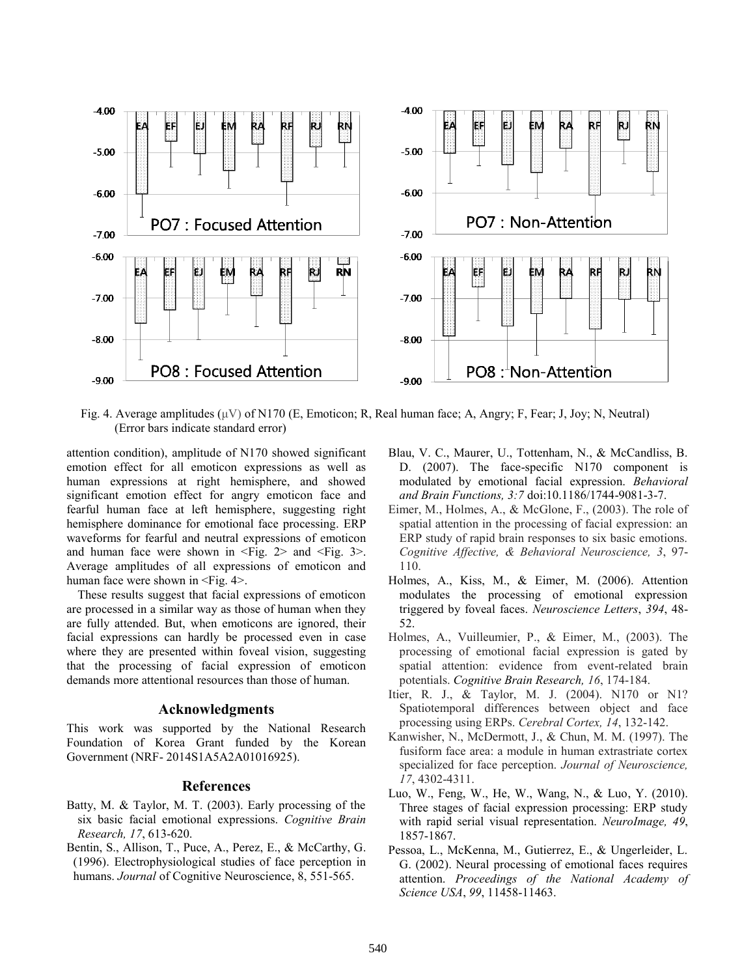

Fig. 4. Average amplitudes ( $\mu$ V) of N170 (E, Emoticon; R, Real human face; A, Angry; F, Fear; J, Joy; N, Neutral) (Error bars indicate standard error)

attention condition), amplitude of N170 showed significant emotion effect for all emoticon expressions as well as human expressions at right hemisphere, and showed significant emotion effect for angry emoticon face and fearful human face at left hemisphere, suggesting right hemisphere dominance for emotional face processing. ERP waveforms for fearful and neutral expressions of emoticon and human face were shown in  $\leq$  Fig. 2> and  $\leq$  Fig. 3>. Average amplitudes of all expressions of emoticon and human face were shown in  $\leq$ Fig. 4>.

These results suggest that facial expressions of emoticon are processed in a similar way as those of human when they are fully attended. But, when emoticons are ignored, their facial expressions can hardly be processed even in case where they are presented within foveal vision, suggesting that the processing of facial expression of emoticon demands more attentional resources than those of human.

#### **Acknowledgments**

This work was supported by the National Research Foundation of Korea Grant funded by the Korean Government (NRF- 2014S1A5A2A01016925).

# **References**

- Batty, M. & Taylor, M. T. (2003). Early processing of the six basic facial emotional expressions. *Cognitive Brain Research, 17*, 613-620.
- Bentin, S., Allison, T., Puce, A., Perez, E., & McCarthy, G. (1996). Electrophysiological studies of face perception in humans. *Journal* of Cognitive Neuroscience, 8, 551-565.
- Blau, V. C., Maurer, U., Tottenham, N., & McCandliss, B. D. (2007). The face-specific N170 component is modulated by emotional facial expression. *Behavioral and Brain Functions, 3:7* doi:10.1186/1744-9081-3-7.
- Eimer, M., Holmes, A., & McGlone, F., (2003). The role of spatial attention in the processing of facial expression: an ERP study of rapid brain responses to six basic emotions. *Cognitive Affective, & Behavioral Neuroscience, 3*, 97- 110.
- Holmes, A., Kiss, M., & Eimer, M. (2006). Attention modulates the processing of emotional expression triggered by foveal faces. *Neuroscience Letters*, *394*, 48- 52.
- Holmes, A., Vuilleumier, P., & Eimer, M., (2003). The processing of emotional facial expression is gated by spatial attention: evidence from event-related brain potentials. *Cognitive Brain Research, 16*, 174-184.
- Itier, R. J., & Taylor, M. J. (2004). N170 or N1? Spatiotemporal differences between object and face processing using ERPs. *Cerebral Cortex, 14*, 132-142.
- Kanwisher, N., McDermott, J., & Chun, M. M. (1997). The fusiform face area: a module in human extrastriate cortex specialized for face perception. *Journal of Neuroscience, 17*, 4302-4311.
- Luo, W., Feng, W., He, W., Wang, N., & Luo, Y. (2010). Three stages of facial expression processing: ERP study with rapid serial visual representation. *NeuroImage, 49*, 1857-1867.
- Pessoa, L., McKenna, M., Gutierrez, E., & Ungerleider, L. G. (2002). Neural processing of emotional faces requires attention. *Proceedings of the National Academy of Science USA*, *99*, 11458-11463.